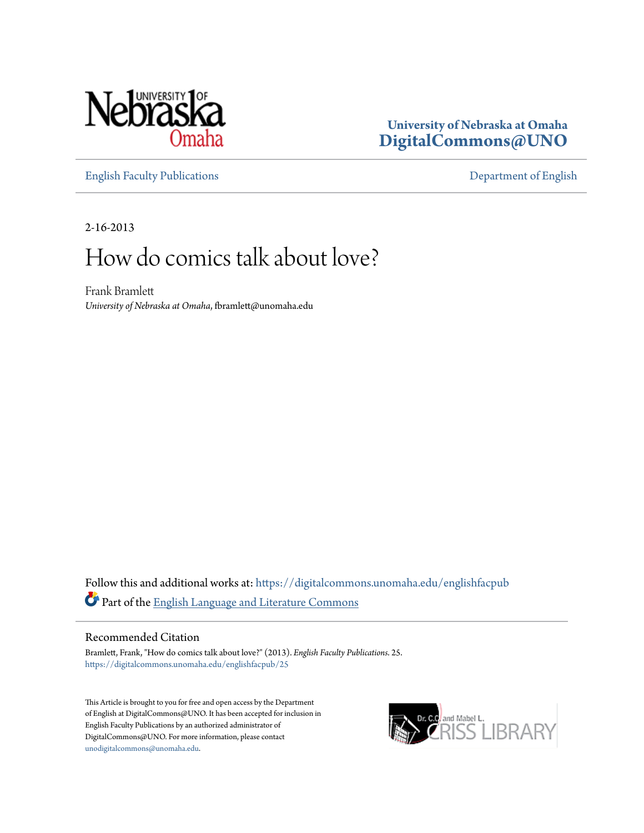

### **University of Nebraska at Omaha [DigitalCommons@UNO](https://digitalcommons.unomaha.edu?utm_source=digitalcommons.unomaha.edu%2Fenglishfacpub%2F25&utm_medium=PDF&utm_campaign=PDFCoverPages)**

[English Faculty Publications](https://digitalcommons.unomaha.edu/englishfacpub?utm_source=digitalcommons.unomaha.edu%2Fenglishfacpub%2F25&utm_medium=PDF&utm_campaign=PDFCoverPages) [Department of English](https://digitalcommons.unomaha.edu/english?utm_source=digitalcommons.unomaha.edu%2Fenglishfacpub%2F25&utm_medium=PDF&utm_campaign=PDFCoverPages)

2-16-2013

## How do comics talk about love?

Frank Bramlett *University of Nebraska at Omaha*, fbramlett@unomaha.edu

Follow this and additional works at: [https://digitalcommons.unomaha.edu/englishfacpub](https://digitalcommons.unomaha.edu/englishfacpub?utm_source=digitalcommons.unomaha.edu%2Fenglishfacpub%2F25&utm_medium=PDF&utm_campaign=PDFCoverPages) Part of the [English Language and Literature Commons](http://network.bepress.com/hgg/discipline/455?utm_source=digitalcommons.unomaha.edu%2Fenglishfacpub%2F25&utm_medium=PDF&utm_campaign=PDFCoverPages)

#### Recommended Citation

Bramlett, Frank, "How do comics talk about love?" (2013). *English Faculty Publications*. 25. [https://digitalcommons.unomaha.edu/englishfacpub/25](https://digitalcommons.unomaha.edu/englishfacpub/25?utm_source=digitalcommons.unomaha.edu%2Fenglishfacpub%2F25&utm_medium=PDF&utm_campaign=PDFCoverPages)

This Article is brought to you for free and open access by the Department of English at DigitalCommons@UNO. It has been accepted for inclusion in English Faculty Publications by an authorized administrator of DigitalCommons@UNO. For more information, please contact [unodigitalcommons@unomaha.edu](mailto:unodigitalcommons@unomaha.edu).

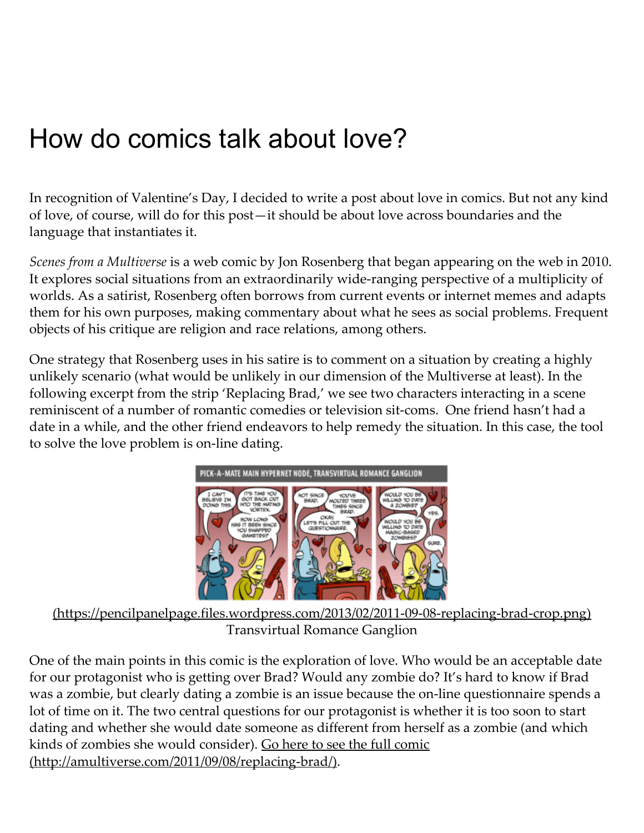# How do comics talk about love?

In recognition of Valentine's Day, I decided to write a post about love in comics. But not any kind of love, of course, will do for this post—it should be about love across boundaries and the language that instantiates it.

Scenes from a Multiverse is a web comic by Jon Rosenberg that began appearing on the web in 2010. It explores social situations from an extraordinarily wide-ranging perspective of a multiplicity of worlds. As a satirist, Rosenberg often borrows from current events or internet memes and adapts them for his own purposes, making commentary about what he sees as social problems. Frequent objects of his critique are religion and race relations, among others.

One strategy that Rosenberg uses in his satire is to comment on a situation by creating a highly unlikely scenario (what would be unlikely in our dimension of the Multiverse at least). In the following excerpt from the strip 'Replacing Brad,' we see two characters interacting in a scene reminiscent of a number of romantic comedies or television sit-coms. One friend hasn't had a date in a while, and the other friend endeavors to help remedy the situation. In this case, the tool to solve the love problem is on-line dating.



[\(https://pencilpanelpage.files.wordpress.com/2013/02/2011‑09‑08‑replacing‑brad‑crop.png\)](https://pencilpanelpage.files.wordpress.com/2013/02/2011-09-08-replacing-brad-crop.png) Transvirtual Romance Ganglion

One of the main points in this comic is the exploration of love. Who would be an acceptable date for our protagonist who is getting over Brad? Would any zombie do? It's hard to know if Brad was a zombie, but clearly dating a zombie is an issue because the on-line questionnaire spends a lot of time on it. The two central questions for our protagonist is whether it is too soon to start dating and whether she would date someone as different from herself as a zombie (and which kinds of zombies she would consider). Go here to see the full comic (http://amultiverse.com/2011/09/08/replacing-brad/).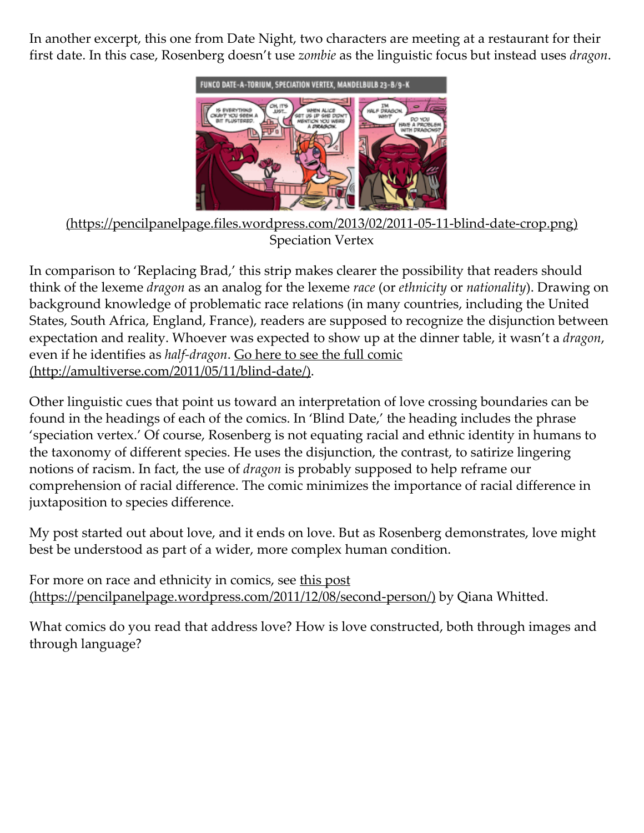In another excerpt, this one from Date Night, two characters are meeting at a restaurant for their first date. In this case, Rosenberg doesn't use zombie as the linguistic focus but instead uses dragon.



[\(https://pencilpanelpage.files.wordpress.com/2013/02/2011‑05‑11‑blind‑date‑crop.png\)](https://pencilpanelpage.files.wordpress.com/2013/02/2011-05-11-blind-date-crop.png) Speciation Vertex

In comparison to 'Replacing Brad,' this strip makes clearer the possibility that readers should think of the lexeme dragon as an analog for the lexeme race (or ethnicity or nationality). Drawing on background knowledge of problematic race relations (in many countries, including the United States, South Africa, England, France), readers are supposed to recognize the disjunction between expectation and reality. Whoever was expected to show up at the dinner table, it wasn't a *dragon*, even if he identifies as *half-dragon*. Go here to see the full comic (http://amultiverse.com/2011/05/11/blind-date/).

Other linguistic cues that point us toward an interpretation of love crossing boundaries can be found in the headings of each of the comics. In 'Blind Date,' the heading includes the phrase 'speciation vertex.' Of course, Rosenberg is not equating racial and ethnic identity in humans to the taxonomy of different species. He uses the disjunction, the contrast, to satirize lingering notions of racism. In fact, the use of dragon is probably supposed to help reframe our comprehension of racial difference. The comic minimizes the importance of racial difference in juxtaposition to species difference.

My post started out about love, and it ends on love. But as Rosenberg demonstrates, love might best be understood as part of a wider, more complex human condition.

For more on race and ethnicity in comics, see this post (https://pencilpanelpage.wordpress.com/2011/12/08/second-person/) by Qiana Whitted.

What comics do you read that address love? How is love constructed, both through images and through language?